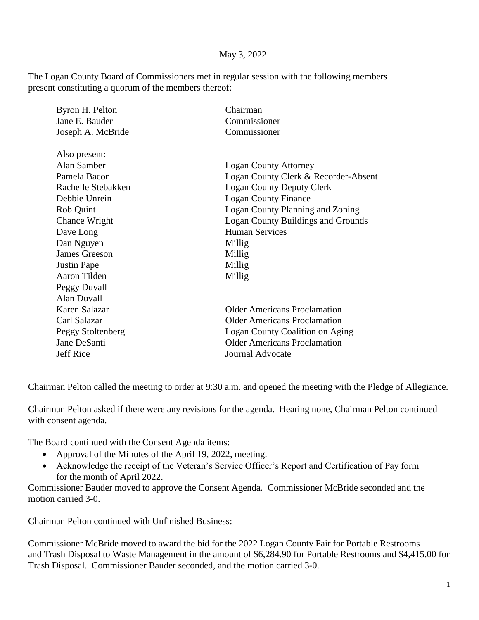## May 3, 2022

The Logan County Board of Commissioners met in regular session with the following members present constituting a quorum of the members thereof:

| Byron H. Pelton    | Chairman                                  |
|--------------------|-------------------------------------------|
| Jane E. Bauder     | Commissioner                              |
| Joseph A. McBride  | Commissioner                              |
| Also present:      |                                           |
| Alan Samber        | <b>Logan County Attorney</b>              |
| Pamela Bacon       | Logan County Clerk & Recorder-Absent      |
| Rachelle Stebakken | <b>Logan County Deputy Clerk</b>          |
| Debbie Unrein      | <b>Logan County Finance</b>               |
| Rob Quint          | <b>Logan County Planning and Zoning</b>   |
| Chance Wright      | <b>Logan County Buildings and Grounds</b> |
| Dave Long          | <b>Human Services</b>                     |
| Dan Nguyen         | Millig                                    |
| James Greeson      | Millig                                    |
| <b>Justin Pape</b> | Millig                                    |
| Aaron Tilden       | Millig                                    |
| Peggy Duvall       |                                           |
| Alan Duvall        |                                           |
| Karen Salazar      | <b>Older Americans Proclamation</b>       |
| Carl Salazar       | Older Americans Proclamation              |
| Peggy Stoltenberg  | Logan County Coalition on Aging           |
| Jane DeSanti       | <b>Older Americans Proclamation</b>       |
| Jeff Rice          | <b>Journal Advocate</b>                   |
|                    |                                           |

Chairman Pelton called the meeting to order at 9:30 a.m. and opened the meeting with the Pledge of Allegiance.

Chairman Pelton asked if there were any revisions for the agenda. Hearing none, Chairman Pelton continued with consent agenda.

The Board continued with the Consent Agenda items:

- Approval of the Minutes of the April 19, 2022, meeting.
- Acknowledge the receipt of the Veteran's Service Officer's Report and Certification of Pay form for the month of April 2022.

Commissioner Bauder moved to approve the Consent Agenda. Commissioner McBride seconded and the motion carried 3-0.

Chairman Pelton continued with Unfinished Business:

Commissioner McBride moved to award the bid for the 2022 Logan County Fair for Portable Restrooms and Trash Disposal to Waste Management in the amount of \$6,284.90 for Portable Restrooms and \$4,415.00 for Trash Disposal. Commissioner Bauder seconded, and the motion carried 3-0.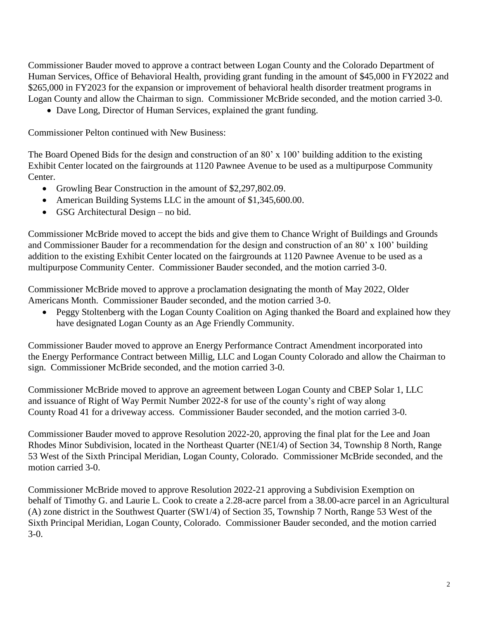Commissioner Bauder moved to approve a contract between Logan County and the Colorado Department of Human Services, Office of Behavioral Health, providing grant funding in the amount of \$45,000 in FY2022 and \$265,000 in FY2023 for the expansion or improvement of behavioral health disorder treatment programs in Logan County and allow the Chairman to sign. Commissioner McBride seconded, and the motion carried 3-0.

• Dave Long, Director of Human Services, explained the grant funding.

Commissioner Pelton continued with New Business:

The Board Opened Bids for the design and construction of an 80' x 100' building addition to the existing Exhibit Center located on the fairgrounds at 1120 Pawnee Avenue to be used as a multipurpose Community Center.

- Growling Bear Construction in the amount of \$2,297,802.09.
- American Building Systems LLC in the amount of \$1,345,600.00.
- GSG Architectural Design no bid.

Commissioner McBride moved to accept the bids and give them to Chance Wright of Buildings and Grounds and Commissioner Bauder for a recommendation for the design and construction of an 80' x 100' building addition to the existing Exhibit Center located on the fairgrounds at 1120 Pawnee Avenue to be used as a multipurpose Community Center. Commissioner Bauder seconded, and the motion carried 3-0.

Commissioner McBride moved to approve a proclamation designating the month of May 2022, Older Americans Month. Commissioner Bauder seconded, and the motion carried 3-0.

• Peggy Stoltenberg with the Logan County Coalition on Aging thanked the Board and explained how they have designated Logan County as an Age Friendly Community.

Commissioner Bauder moved to approve an Energy Performance Contract Amendment incorporated into the Energy Performance Contract between Millig, LLC and Logan County Colorado and allow the Chairman to sign. Commissioner McBride seconded, and the motion carried 3-0.

Commissioner McBride moved to approve an agreement between Logan County and CBEP Solar 1, LLC and issuance of Right of Way Permit Number 2022-8 for use of the county's right of way along County Road 41 for a driveway access. Commissioner Bauder seconded, and the motion carried 3-0.

Commissioner Bauder moved to approve Resolution 2022-20, approving the final plat for the Lee and Joan Rhodes Minor Subdivision, located in the Northeast Quarter (NE1/4) of Section 34, Township 8 North, Range 53 West of the Sixth Principal Meridian, Logan County, Colorado. Commissioner McBride seconded, and the motion carried 3-0.

Commissioner McBride moved to approve Resolution 2022-21 approving a Subdivision Exemption on behalf of Timothy G. and Laurie L. Cook to create a 2.28-acre parcel from a 38.00-acre parcel in an Agricultural (A) zone district in the Southwest Quarter (SW1/4) of Section 35, Township 7 North, Range 53 West of the Sixth Principal Meridian, Logan County, Colorado. Commissioner Bauder seconded, and the motion carried 3-0.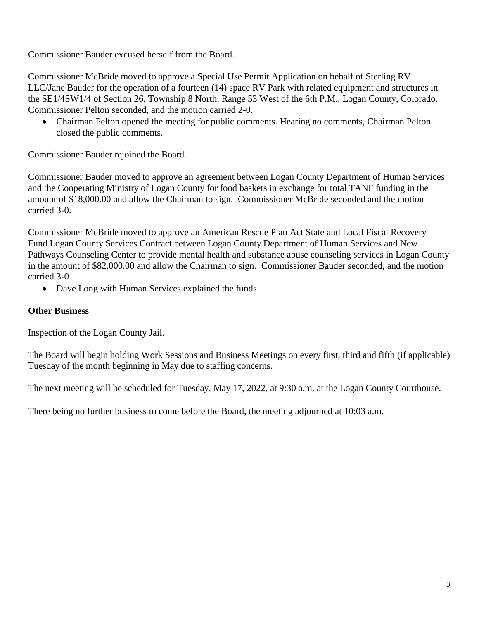Commissioner Bauder excused herself from the Board.

Commissioner McBride moved to approve a Special Use Permit Application on behalf of Sterling RV LLC/Jane Bauder for the operation of a fourteen (14) space RV Park with related equipment and structures in the SE1/4SW1/4 of Section 26, Township 8 North, Range 53 West of the 6th P.M., Logan County, Colorado. Commissioner Pelton seconded, and the motion carried 2-0.

• Chairman Pelton opened the meeting for public comments. Hearing no comments, Chairman Pelton closed the public comments.

Commissioner Bauder rejoined the Board.

Commissioner Bauder moved to approve an agreement between Logan County Department of Human Services and the Cooperating Ministry of Logan County for food baskets in exchange for total TANF funding in the amount of \$18,000.00 and allow the Chairman to sign. Commissioner McBride seconded and the motion carried 3-0.

Commissioner McBride moved to approve an American Rescue Plan Act State and Local Fiscal Recovery Fund Logan County Services Contract between Logan County Department of Human Services and New Pathways Counseling Center to provide mental health and substance abuse counseling services in Logan County in the amount of \$82,000.00 and allow the Chairman to sign. Commissioner Bauder seconded, and the motion carried 3-0.

• Dave Long with Human Services explained the funds.

## **Other Business**

Inspection of the Logan County Jail.

The Board will begin holding Work Sessions and Business Meetings on every first, third and fifth (if applicable) Tuesday of the month beginning in May due to staffing concerns.

The next meeting will be scheduled for Tuesday, May 17, 2022, at 9:30 a.m. at the Logan County Courthouse.

There being no further business to come before the Board, the meeting adjourned at 10:03 a.m.